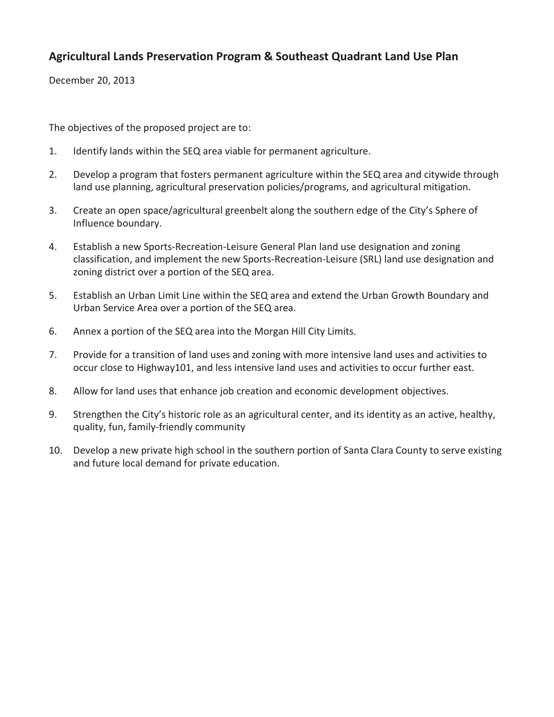December 20, 2013

The objectives of the proposed project are to:

- 1. Identify lands within the SEQ area viable for permanent agriculture.
- 2. Develop a program that fosters permanent agriculture within the SEQ area and citywide through land use planning, agricultural preservation policies/programs, and agricultural mitigation.
- 3. Create an open space/agricultural greenbelt along the southern edge of the City's Sphere of Influence boundary.
- 4. Establish a new Sports-Recreation-Leisure General Plan land use designation and zoning classification, and implement the new Sports-Recreation-Leisure (SRL) land use designation and zoning district over a portion of the SEQ area.
- 5. Establish an Urban Limit Line within the SEQ area and extend the Urban Growth Boundary and Urban Service Area over a portion of the SEQ area.
- 6. Annex a portion of the SEQ area into the Morgan Hill City Limits.
- 7. Provide for a transition of land uses and zoning with more intensive land uses and activities to occur close to Highway101, and less intensive land uses and activities to occur further east.
- 8. Allow for land uses that enhance job creation and economic development objectives.
- 9. Strengthen the City's historic role as an agricultural center, and its identity as an active, healthy, quality, fun, family-friendly community
- 10. Develop a new private high school in the southern portion of Santa Clara County to serve existing and future local demand for private education.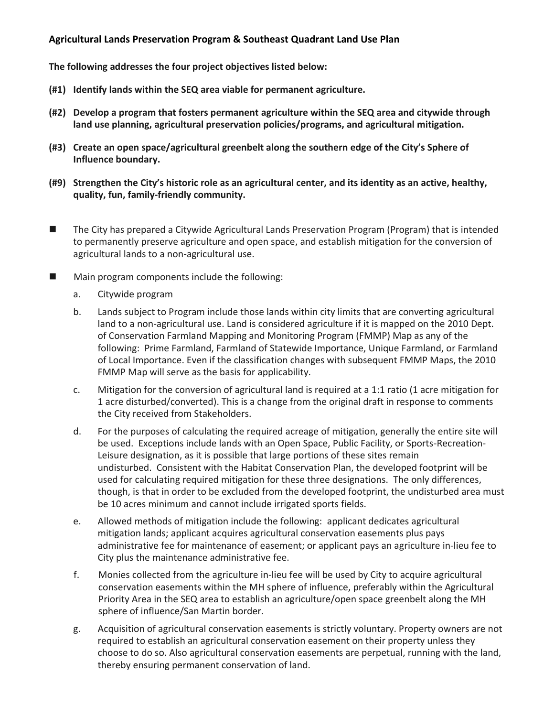**The following addresses the four project objectives listed below:**

- **(#1) Identify lands within the SEQ area viable for permanent agriculture.**
- **(#2) Develop a program that fosters permanent agriculture within the SEQ area and citywide through land use planning, agricultural preservation policies/programs, and agricultural mitigation.**
- **(#3) Create an open space/agricultural greenbelt along the southern edge of the City's Sphere of Influence boundary.**
- **(#9) Strengthen the City's historic role as an agricultural center, and its identity as an active, healthy, quality, fun, family-friendly community.**
- The City has prepared a Citywide Agricultural Lands Preservation Program (Program) that is intended to permanently preserve agriculture and open space, and establish mitigation for the conversion of agricultural lands to a non-agricultural use.
- **Main program components include the following:** 
	- a. Citywide program
	- b. Lands subject to Program include those lands within city limits that are converting agricultural land to a non-agricultural use. Land is considered agriculture if it is mapped on the 2010 Dept. of Conservation Farmland Mapping and Monitoring Program (FMMP) Map as any of the following: Prime Farmland, Farmland of Statewide Importance, Unique Farmland, or Farmland of Local Importance. Even if the classification changes with subsequent FMMP Maps, the 2010 FMMP Map will serve as the basis for applicability.
	- c. Mitigation for the conversion of agricultural land is required at a 1:1 ratio (1 acre mitigation for 1 acre disturbed/converted). This is a change from the original draft in response to comments the City received from Stakeholders.
	- d. For the purposes of calculating the required acreage of mitigation, generally the entire site will be used. Exceptions include lands with an Open Space, Public Facility, or Sports-Recreation-Leisure designation, as it is possible that large portions of these sites remain undisturbed. Consistent with the Habitat Conservation Plan, the developed footprint will be used for calculating required mitigation for these three designations. The only differences, though, is that in order to be excluded from the developed footprint, the undisturbed area must be 10 acres minimum and cannot include irrigated sports fields.
	- e. Allowed methods of mitigation include the following: applicant dedicates agricultural mitigation lands; applicant acquires agricultural conservation easements plus pays administrative fee for maintenance of easement; or applicant pays an agriculture in-lieu fee to City plus the maintenance administrative fee.
	- f. Monies collected from the agriculture in-lieu fee will be used by City to acquire agricultural conservation easements within the MH sphere of influence, preferably within the Agricultural Priority Area in the SEQ area to establish an agriculture/open space greenbelt along the MH sphere of influence/San Martin border.
	- g. Acquisition of agricultural conservation easements is strictly voluntary. Property owners are not required to establish an agricultural conservation easement on their property unless they choose to do so. Also agricultural conservation easements are perpetual, running with the land, thereby ensuring permanent conservation of land.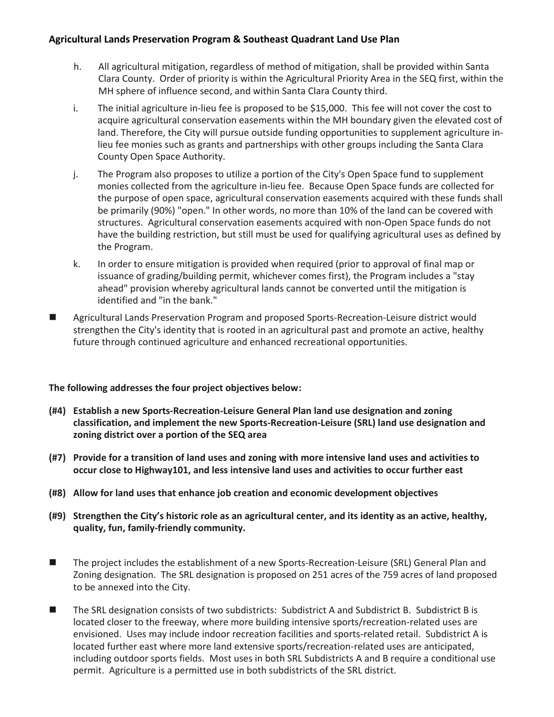- h. All agricultural mitigation, regardless of method of mitigation, shall be provided within Santa Clara County. Order of priority is within the Agricultural Priority Area in the SEQ first, within the MH sphere of influence second, and within Santa Clara County third.
- i. The initial agriculture in-lieu fee is proposed to be \$15,000. This fee will not cover the cost to acquire agricultural conservation easements within the MH boundary given the elevated cost of land. Therefore, the City will pursue outside funding opportunities to supplement agriculture inlieu fee monies such as grants and partnerships with other groups including the Santa Clara County Open Space Authority.
- j. The Program also proposes to utilize a portion of the City's Open Space fund to supplement monies collected from the agriculture in-lieu fee. Because Open Space funds are collected for the purpose of open space, agricultural conservation easements acquired with these funds shall be primarily (90%) "open." In other words, no more than 10% of the land can be covered with structures. Agricultural conservation easements acquired with non-Open Space funds do not have the building restriction, but still must be used for qualifying agricultural uses as defined by the Program.
- k. In order to ensure mitigation is provided when required (prior to approval of final map or issuance of grading/building permit, whichever comes first), the Program includes a "stay ahead" provision whereby agricultural lands cannot be converted until the mitigation is identified and "in the bank."
- Agricultural Lands Preservation Program and proposed Sports-Recreation-Leisure district would strengthen the City's identity that is rooted in an agricultural past and promote an active, healthy future through continued agriculture and enhanced recreational opportunities.

## **The following addresses the four project objectives below:**

- **(#4) Establish a new Sports-Recreation-Leisure General Plan land use designation and zoning classification, and implement the new Sports-Recreation-Leisure (SRL) land use designation and zoning district over a portion of the SEQ area**
- **(#7) Provide for a transition of land uses and zoning with more intensive land uses and activities to occur close to Highway101, and less intensive land uses and activities to occur further east**
- **(#8) Allow for land uses that enhance job creation and economic development objectives**
- **(#9) Strengthen the City's historic role as an agricultural center, and its identity as an active, healthy, quality, fun, family-friendly community.**
- The project includes the establishment of a new Sports-Recreation-Leisure (SRL) General Plan and Zoning designation. The SRL designation is proposed on 251 acres of the 759 acres of land proposed to be annexed into the City.
- The SRL designation consists of two subdistricts: Subdistrict A and Subdistrict B. Subdistrict B is located closer to the freeway, where more building intensive sports/recreation-related uses are envisioned. Uses may include indoor recreation facilities and sports-related retail. Subdistrict A is located further east where more land extensive sports/recreation-related uses are anticipated, including outdoor sports fields. Most uses in both SRL Subdistricts A and B require a conditional use permit. Agriculture is a permitted use in both subdistricts of the SRL district.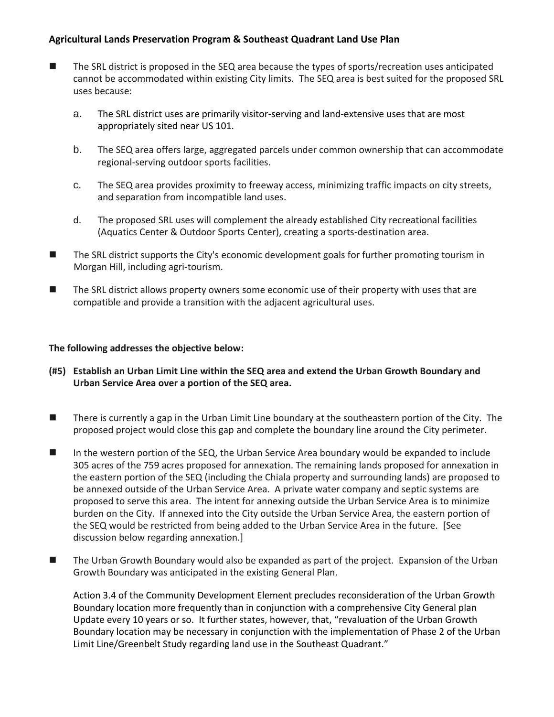- The SRL district is proposed in the SEQ area because the types of sports/recreation uses anticipated cannot be accommodated within existing City limits. The SEQ area is best suited for the proposed SRL uses because:
	- a. The SRL district uses are primarily visitor-serving and land-extensive uses that are most appropriately sited near US 101.
	- b. The SEQ area offers large, aggregated parcels under common ownership that can accommodate regional-serving outdoor sports facilities.
	- c. The SEQ area provides proximity to freeway access, minimizing traffic impacts on city streets, and separation from incompatible land uses.
	- d. The proposed SRL uses will complement the already established City recreational facilities (Aquatics Center & Outdoor Sports Center), creating a sports-destination area.
- The SRL district supports the City's economic development goals for further promoting tourism in Morgan Hill, including agri-tourism.
- The SRL district allows property owners some economic use of their property with uses that are compatible and provide a transition with the adjacent agricultural uses.

#### **The following addresses the objective below:**

- **(#5) Establish an Urban Limit Line within the SEQ area and extend the Urban Growth Boundary and Urban Service Area over a portion of the SEQ area.**
- There is currently a gap in the Urban Limit Line boundary at the southeastern portion of the City. The proposed project would close this gap and complete the boundary line around the City perimeter.
- In the western portion of the SEQ, the Urban Service Area boundary would be expanded to include 305 acres of the 759 acres proposed for annexation. The remaining lands proposed for annexation in the eastern portion of the SEQ (including the Chiala property and surrounding lands) are proposed to be annexed outside of the Urban Service Area. A private water company and septic systems are proposed to serve this area. The intent for annexing outside the Urban Service Area is to minimize burden on the City. If annexed into the City outside the Urban Service Area, the eastern portion of the SEQ would be restricted from being added to the Urban Service Area in the future. [See discussion below regarding annexation.]
- The Urban Growth Boundary would also be expanded as part of the project. Expansion of the Urban Growth Boundary was anticipated in the existing General Plan.

Action 3.4 of the Community Development Element precludes reconsideration of the Urban Growth Boundary location more frequently than in conjunction with a comprehensive City General plan Update every 10 years or so. It further states, however, that, "revaluation of the Urban Growth Boundary location may be necessary in conjunction with the implementation of Phase 2 of the Urban Limit Line/Greenbelt Study regarding land use in the Southeast Quadrant."